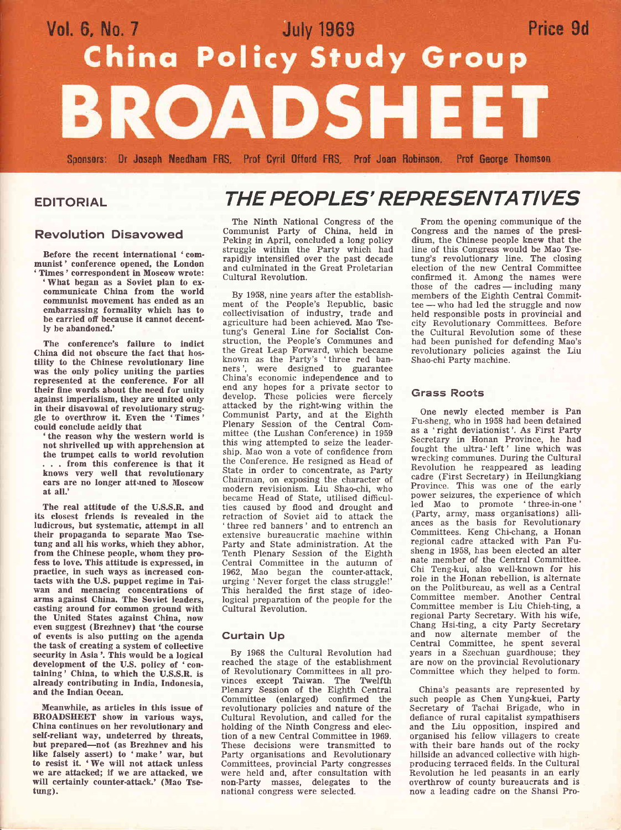# Vol. 6, No. 7<br>
China Policy Study Group Price 9d **BROADSHEET**

Sponsors: Dr Joseph Needham FRS, Prof Cyril Offord FRS, Prof Joan Robinson, Prof George Thomson

#### EDITORIAL

#### Revolution Disavowed

Before the recent international 'communist' conference opened, the London 'Tlmes' correspondent in Moscow wrote:

'Ylhat began as a Soviet plan to excommunicate China from the world communist movement has ended as an embarrassing formality which has to be carried off because it cannot decently be abandoned.'

The conference's failure to indict China did not obscure the fact that hostility to the Chinese revolutionary line was the only policy uniting the parties represented at the conference. For all their fine words about the need for unity against imperialism, they are united only in their disavowal of revolutionary struggle to overthrow it, Even the 'Times ' could conclude acidly that

the reason why the western world is not shrivelled up with apprehension at the trumpet calls to world revolution . . . from this conference is that it knows very well that revolutionary ears are no longer attuned to Moscow at all.'

The real attitude of the U.S.S.R. and its closest friends is revealed in the ludicrous, but systematic, attempt in all their propaganda to separate Mao Tse tung and all his works, which they abhor, from the Chinese people, whom they pro fess to love. This attitude is expressed, in practice, in such ways as increased contacts with the U.S. puppet regime in Taiwan and menacing concentrations of arms against China. The Soviet leaders, casting around for common ground with the United States against China, now even suggest (Brezhnev) that'the course of events is also putting on the agenda the task of creating a system of collective security in Asia'. This would be a logical development of the U.S. policy of 'containing' China, to which the U.S.S.R. is already contributing in India, Indonesia, and the Indian Ocean.

Meanwhile, as articles in this issue of BROADSHEET show in various ways, China continues on her revolutionary and self-reliant way, undeterred by threats, but prepared-not (as Brezhnev and his like falsely assert) to 'make' war, but to resist it. 'We will not attack unless we are attacked; if we are attacked, we will certainly counter-attack.' (Mao Tse tung).

## THE PEOPLES' REPRESENTATIVES

The Ninth National Congress of the Communist Party of China, held in Peking in April, concluded a long policy struggle within the Party which had rapidly intensified over the past decade and culminated in the Great Proletarian Cultural Revolution.

By 1958, nine years after the establishment of the People's Republic, basic collectivisation of industry, trade and agriculture had been achieved. Mao Tsetung's General Line for Socialist Construction, the People's Communes and the Great Leap Forward, which became known as the Party's 'three red banners', were designed to guarantee China's economic independence and to end any hopes for a private sector to develop. These policies were fiercely attacked by the right-wing within the Communist Party, and at the Eighth Plenary Session of the Central Committee (the Lushan Conference) in <sup>1959</sup> this wing attempted to seize the leadership. Mao won a vote of confidence from the Conference. He resigned as Head of State in order to concentrate, as Party Chairman, on exposing the character of modern revisionism. Liu Shao-chi, who became Head of State, utilised difficulties caused by flood and drought and retraction of Soviet aid to attack the 'three red banners' and to entrench an extensive bureaucratic machine within Party and State administration. At the Tenth Plenary Session of the Eighth Central Committee in the autumn of 1962, Mao began the counter-attack, urging 'Never forget the class strugglel' This heralded the first stage of ideological preparation of the people for the Cultural Revolution.

#### Gurtain Up

By 1968 the Cultural Revolution had reached the stage of the establishment of Revolutionary Committees in all provinces except Taiwan. The Twelfth Plenary Session of the Eighth Central Committee (enlarged) confirmed the revolutionary policies and nature of the Cultural Revolution, and called for the holding of the Ninth Congress and election of a new Central Committee in 1969. These decisions were transmitted to Party organisations and Revolutionary Committees, provincial Party congresses were held and, after consultation with non-Party masses, delegates to the national congress were selected.

From the opening communique of the Congress and the names of the presidium, the Chinese people knew that the line of this Congress would be Mao Tsetung's revolutionary line. The closing election of the new Central Committee confirmed it. Among the names were those of the cadres - including many mose of the catries — including many<br>members of the Eighth Central Committee who had led the struggle and now - held responsible posts in provincial and city Revolutionary Committees. Before the Cultural Revolution some of these had been punished for defending Mao's revolutionary policies against the Liu Shao-chi Party machine.

#### Grass Roots

One newly elected member is Pan Fu-sheng, who in 1958 had been detained as a 'right deviationist'. As First Party Secretary in Honan Province, he had fought the ultra-'left' line which was wrecking communes. During the Cultural Revolution he reappeared as leading cadre (First Secretary) in Heilungkiang Province. This was one of the early power seizures, the experience of which led Mao to promote 'three-in-one ' (Party, arrny, mass organisations) alliances as the basis for Revolutionary Committees. Keng Chi-chang, a Honan regional cadre attacked with Pan Fusheng in 1958, has been elected an alter nate member of the Central Committee. Chi Teng-kui, also well-known for his role in the Honan rebellion, is alternate on the Politbureau, as well as a Central Committee member. Another Central Committee member is Liu Chieh-ting, <sup>a</sup> regional Party Secretary. With his wife, Chang Hsi-ting, a city Party Secretary and now alternate member of the Central Committee, he spent several years in a Szechuan guardhouse; they are now on the provincial Revolutionary Committee which they helped to form.

China's peasants are represented by such people as Chen Yung-kuei, Party Secretary of Tachai Brigade, who in deflance of rural capitalist sympathisers and the Liu opposition, inspired and organised his fellow villagers to create with their bare hands out of the rocky hillside an advanced collective with highproducing terraced fields. In the Cultural Revolution he led peasants in an early overthrow of county bureaucrats and is now a leading cadre on the Shansi Pro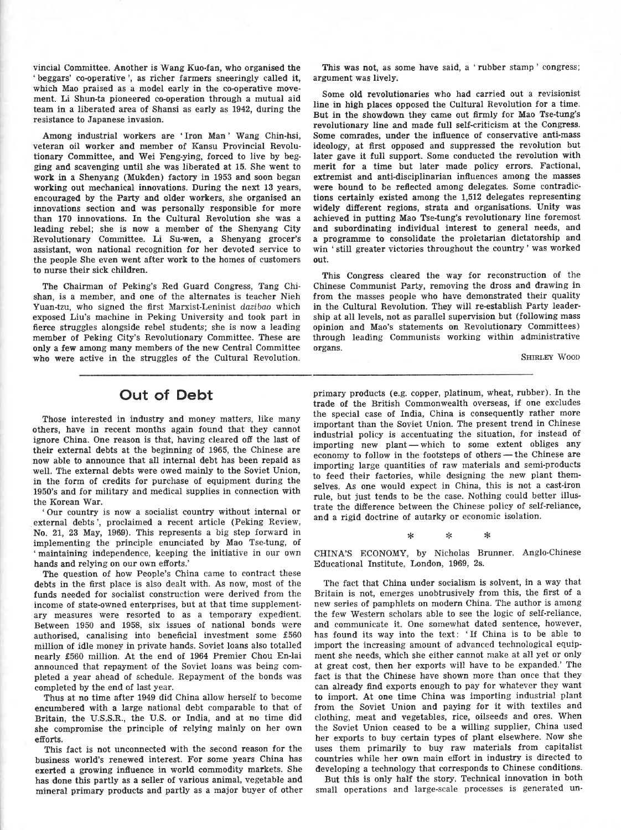vincial Committee. Another is Wang Kuo-fan, who organised the 'beggars' co-operative', as richer farmers sneeringly called it, which Mao praised as a model early in the co-operative movement. Li Shun-ta pioneered co-operation through a mutual aid team in a liberated area of Shansi as early as 1942, during the resistance to Japanese invasion.

Among industrial workers are 'Iron Man' Wang Chin-hsi, veteran oil worker and member of Kansu Provincial Revolutionary Committee, and Wei Feng-ying, forced to live by begging and scavenging until she was liberated at 15. She went to work in a Shenyang (Mukden) factory in 1953 and soon began working out mechanical innovations. During the next 13 years, encouraged by the Party and older workers, she organised an innovations section and was personally responsible for more than 170 innovations. In the Cultural Revolution she was <sup>a</sup> leading rebel; she is now a member of the Shenyang City Revolutionary Committee. Li Su-wen, a Shenyang grocer's assistant, won national recognition for her devoted service to the people She even went after work to the homes of customers to nurse their sick children.

The Chairman of Peking's Red Guard Congress, Tang Chishan, is a member, and one of the alternates is teacher Nieh Yuan-tzu, who signed the first Marxist-Leninist dazibao which exposed Liu's machine in Peking University and took part in fierce struggles alongside rebel students; she is now a leading member of Peking City's Revolutionary Committee. These are only a few among many members of the new Central Committee who were aetive in the struggles of the Cultural Revolution.

This was not, as some have said, a 'rubber stamp ' congress; argument was lively.

Some old revolutionaries who had carried out a revisionist line in high places opposed the Cultural Revolution for a time. But in the showdown they came out firmly for Mao Tse-tung's revolutionary line and made full self-criticism at the Congress. Some comrades, under the influence of conservative anti-mass ideology, at first opposed and suppressed the revolution but later gave it full support. Some conducted the revolution with merit for a time but later made policy errors. Factional, extremist and anti-disciplinarian influences among the masses were bound to be reflected among delegates. Some contradictions certainly existed among the 1,512 delegates representing widely different regions, strata and organisations. Unity was achieved in putting Mao Tse-tung's revolutionary line foremost and subordinating individual interest to general needs, and a programme to consolidate the proletarian dictatorship and win 'still greater victories throughout the country' was worked out.

This Congress cleared the way for reconstruction of the Chinese Communist Party, removing the dross and drawing in from the masses people who have demonstrated their quality in the Cultural Revolution. They will re-establish Party leadership at all levels, not as parallel supervision but (following mass opinion and Mao's statements on Revolutionary Committees) through leading Communists working within administrative organs'

SHIRLEY WOOD

### Out of Debt

Those interested in industry and money matters, like many others, have in recent months again found that they cannot ignore China. One reason is that, having cleared off the last of their external debts at the beginning of 1965, the Chinese are now able to announce that all internal debt has been repaid as well. The external debts were owed mainly to the Soviet Union, in the form of credits for purchase of equipment during the 1950's and for military and medical supplies in connection with the Korean War.

'Our country is now a socialist eountry without internal or external debts', proclaimed a recent article (Peking Review, No. 21, 23 May, 1969). This represents a big step forward in implementing the principle enunciated by Mao Tse-tung, of 'maintaining independence, keeping the initiative in our own hands and relying on our own efforts.'

The question of how People's China came to contract these debts in the first place is also dealt with. As now, most of the funds needed for socialist construction were derived from the income of state-owned enterprises, but at that time supplementary measures were resorted to as a temporary expedient. Between 1950 and 1958, six issues of national bonds were authorised, canalising into beneficial investment some £560 million of idle money in private hands. Soviet loans also totalled nearly £560 million. At the end of 1964 Premier Chou En-lai announced that repayment of the Soviet loans was being completed a year ahead of schedule. Repayment of the bonds was completed by the end of last year.

Thus at no time after 1949 did China allow herself to become encumbered with a large national debt comparable to that of Britain, the U.S.S.R., the U.S. or India, and at no time did she compromise the principle of relying mainly on her own efiorts.

This fact is not unconnected with the second reason for the business world's renewed interest. For some years China has exerted a growing influence in world commodity markets. She has done tbis partly as a seller of various animal, vegetable and mineral primary products and partly as a major buyer of other primary products (e.g. copper, platinum, wheat, rubber). In the trade of the British Commonwealth overseas, if one excludes the special case of India, China is consequently rather more important than the Soviet Union. The present trend in Chinese industrial policy is accentuating the situation, for instead of importing new plant — which to some extent obliges any economy to follow in the footsteps of others — the Chinese are importing large quantities of raw materials and semi-products to feed their factories, while designing the new plant themselves. As one would expect in China, this is not a cast-iron rule, but just tends to be the case. Nothing could better illustrate the difference between the Chinese policy of self-reliance, and a rigid doctrine of autarky or economic isolation.

> $\ast$ \*\*\*  $\ast$

CHINA'S ECONOMY, by Nicholas Brunner. Anglo-Chinese Educational Institute, London, 1969, 2s.

The fact that China under socialism is solvent, in a way that Britain is not, emerges unobtrusively from this, the first of <sup>a</sup> new series of pamphlets on modern China. The author is among the few Western scholars able to see the logic of self-reliance, and communicate it. One somewhat dated sentence, however, has found its way into the text: 'If China is to be able to import the inereasing amount of advanced technological equipment she needs, which she either cannot make at all yet or only at great cost, then her exports will have to be expanded.' The fact is that the Chinese have shown more than once that they can already find exports enough to pay for whatever they want to import. At one time China was importing industrial plant from the Soviet Union and paying for it with textiles and clothing, meat and vegetables, rice, oilseeds and ores. When the Soviet Union ceased to be a willing supplier, China used her exports to buy certain types of plant elsewhere. Now she uses them primarily to buy raw materials from capitalist countries while her own main effort in industry is directed to developing a technology that corresponds to Chinese conditions.

But this is only half the story. Technical innovation in both small operations and large-scale processes is generated un-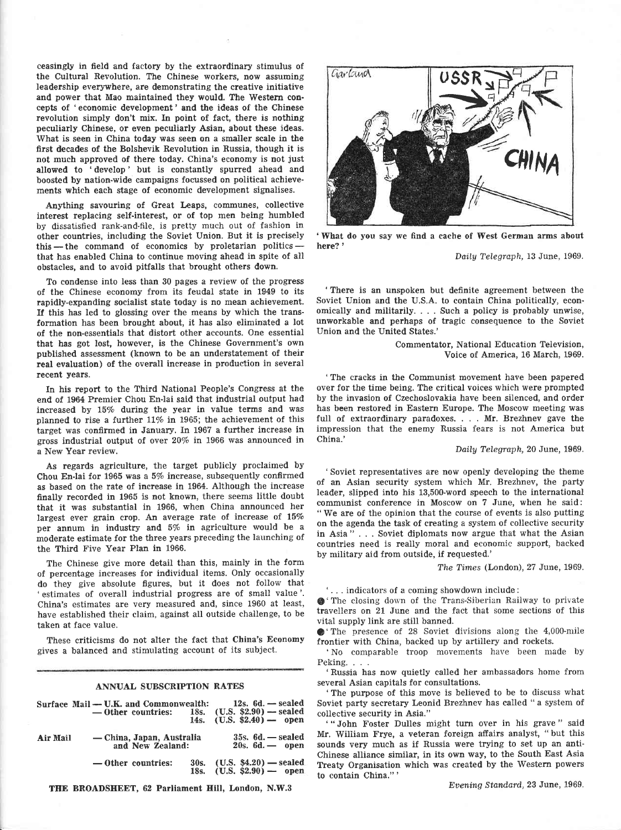ceasingly in field and factory by the extraordinary stimulus of the Cultural Revolution. The Chinese workers, now assuming leadership everywhere, are demonstrating the creative initiative and power that Mao maintained they would. The Western concepts of 'economic development' and the ideas of the Chinese revolution simply don't mix. In point of fact, there is nothing peculiarly Chinese, or even peculiarly Asian, about these ideas. What is seen in China today was seen on a smaller seale in the first decades of the Bolshevik Revolution in Russia, though it is not much approved of there today. China's economy is not just allowed to 'develop' but is constantly spurred ahead and boosted by nation-wide campaigns focussed on political achievements which each stage of economic development signalises.

Anything savouring of Great Leaps, communes, collective interest replacing self-interest, or of top men being humbled by dissatisfied rank-and-file, is pretty much out of fashion in other countries, including the Soviet Union. But it is precisely this -- the command of economics by proletarian politics  $\lim_{n \to \infty}$  are command of economics by profetarian pointed  $\frac{1}{n}$ . obstacles, and to avoid pitfalls that brought others down.

To condense into less than 30 pages a review of the progress of the Chinese economy from its feudal state in 1949 to its rapidly-expanding socialist state today is no mean achievement. If this has led to glossing over the means by which the transformation has been brought about, it has also eliminated a lot of the non-essentials that distort other accounts. One essential that has got lost, however, is the Chinese Government's own published assessment (known to be an understatement of their real evaluation) of the overall increase in produetion in several recent years.

In his report to the Third National People's Congress at the end of 1964 Premier Chou En-Iai said that industrial output had increased by 15% during the year in value terms and was planned to rise a further ll% in 1965; the achievement of this target was confirmed in January. In 1967 a further increase in gross industrial output of over 20% ia 1966 was announced in a New Year review.

As regards agriculture, the target publicly proclaimed by Chou En-lai for 1965 was a  $5\%$  increase, subsequently confirmed as based on the rate of increase in 1964. Although the increase finally recorded in 1965 is not known, there seems little doubt that it was substantial in 1966, when China announced her largest ever grain crop. An average rate of increase of 15% per annum in industry and 5% in agriculture would be a moderate estimate for the three years preceding the launching of the Third Five Year Plan in 1966.

The Chinese give more detail than this, mainly in the form of percentage increases for individual items. Only occasionally do they give absolute figures, but it does not follow that 'estimates of overall industrial progress are of small value'. China's estimates are very measured and, since 1960 at least, have established their claim, against all outside challenge, to be taken at face value.

These criticisms do not alter the fact that China's Economy gives a balanced and stimulating account of its subject.

#### ANNUAL SUBSCEIPTION RATES

U.K. and Conamonwealth:

Surface Mail

|          | Surface Mail — U.K. and Commonwealth:<br>$-$ Other countries: 18s. (U.S. \$2.90) $-$ sealed |      | $12s.6d. - sealed$<br>14s. $(U.S. $2.40)$ — open      |
|----------|---------------------------------------------------------------------------------------------|------|-------------------------------------------------------|
| Air Mail | — China, Japan, Australia<br>and New Zealand:                                               |      | $35s. 6d.$ - sealed<br>$20s. 6d.$ - open              |
|          | — Other countries:                                                                          | 30s. | $(U.S. $4.20)$ - sealed<br>18s. $(U.S. S2.90)$ — open |

THE BROADSHEET, 62 Parliament Hill, London, N.W.3



'What do you say we find a eache of West German arms ahout here?'

Dailg Telegraph, 13 June, 1969.

'There is an unspoken but definite agreement between the Soviet Union and the U.S.A. to contain China politically, economically and militarily. . . . Such a policy is probably unwise, unworkable and perhaps of tragic consequence to the Soviet Union and the United States.'

> Commentator, National Education Television, Voice of America, 16 March, 1969.

'The cracks in the Communist movement have been papered over for the time being. The critical voices which were prompted by the invasion of Czechoslovakia have been silenced, and order has been restored in Eastern Europe. The Moscow meeting was full of extraordinary paradoxes. . . Mr. Brezhnev gave the impression that the enemy Russia fears is not America but China.'

Daily Telegraph, 20 June, 1969.

'Soviet representatives are now openly developing the theme of an Asian security system which Mr. Brezhnev, the party leader, slipped into his 13,500-word speech to the international communist conference in Moscow on 7 June, when he said: " We are of the opinion that the course of events is also putting on the agenda the task of creating a system of collective security in Asia " . . . Soviet diplomats now argue that what the Asian countries need is really moral and economic support, backed by military aid from outside, if requested.'

The Times (London), 27 June, 1969.

' . . . indicators of a coming showdown include:

g' The closing dorvn of the Trans.Siberian Railway to private travellers on 21 June and the fact that some sections of this vital supply link are still banned.

G'The presence of 28 Soviet divisions along the 4,000-mile frontier with China, backed up by artillery and rockets.

'No comparable troop movements have been made by Peking. . . .

'Russia has now quietly called her ambassadors home from several Asian capitals for consultations.

'The purpose of this move is believed to be to discuss what Soviet party secretary Leonid Brezhnev has called " a system of collective security in Asia."

' " John Foster Dulles might turn over in his grave " said Mr. Wiliiam Frye, a veteran foreign affairs analyst, " but this sounds very much as if Russia were trying to set up an anti-Chinese alliance similar, in its own way, to the South East Asia Treaty Organisation which was created by the Western powers to contain China."'

Eoening Standard,2S June, 1969,